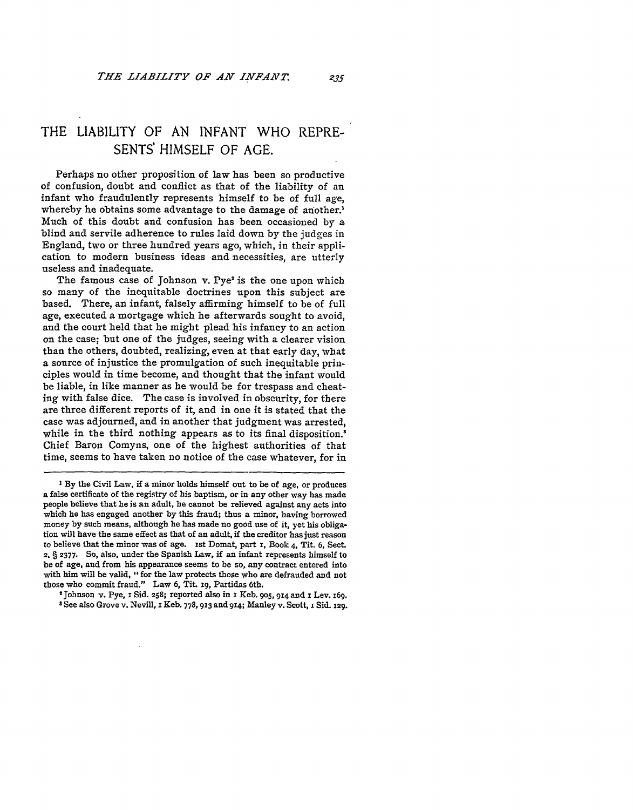## THE LIABILITY OF **AN INFANT** WHO REPRE-**SENTS' HIMSELF** OF **AGE.**

Perhaps no other proposition of law has been so productive of confusion, doubt and conflict as that of the liability of an infant who fraudulently represents himself to be of full age, whereby he obtains some advantage to the damage of another.' Much of this doubt and confusion has been occasioned **by** a blind and servile adherence to rules laid down **by** the judges in England, two or three hundred years ago, which, in their application to modern business ideas and necessities, are utterly useless and inadequate.

The famous case of Johnson v. Pye<sup>2</sup> is the one upon which so many of the inequitable doctrines upon this subject are based. There, an infant, falsely affirming himself to be of full age, executed a mortgage which he afterwards sought to avoid, and the court held that he might plead his infancy to an action on the case; but one of the judges, seeing with a clearer vision than the others, doubted, realizing, even at that early day, what a source of injustice the promulgation of such inequitable principles would in time become, and thought that the infant would be liable, in like manner as he would be for trespass and cheating with false dice. The case is involved in obscurity, for there are three different reports of it, and in one it is stated that the case was adjourned, and in another that judgment was arrested, while in the third nothing appears as to its final disposition.' Chief Baron Comyns, one of the highest authorities of that time, seems to have taken no notice of the case whatever, for in

'Johnson v. Pye, i Sid. **258;** reported also in **i** Keb. 9o5, **914** and i Lev. 169.

' See also Grove v. Nevill, i Keb. 778, **913** and 94; Manley v. Scott, i Sid. **129.**

<sup>&#</sup>x27; **By** the Civil Law, if a minor holds himself out to be of age, or produces a false certificate of the registry of his baptism, or in any other way has made people believe that he is an adult, he cannot be relieved against any acts into which he has engaged another **by** this fraud; thus a minor, having borrowed money **by** such means, although he has made no good use of it, yet his obligation will have the same effect as that of an adult, if the creditor has just reason to believe that the minor was of age. ist Domat, part **x,** Book 4, Tit. **6,** Sect. **2.** *§* **2377.** So, also, under the Spanish Law, if an infant represents himself to be of age, and from his appearance seems to be so, any contract entered into with him will be valid, "for the law protects those who are defrauded and not those who commit fraud." Law **6,** Tit. **i9,** Partidas 6th.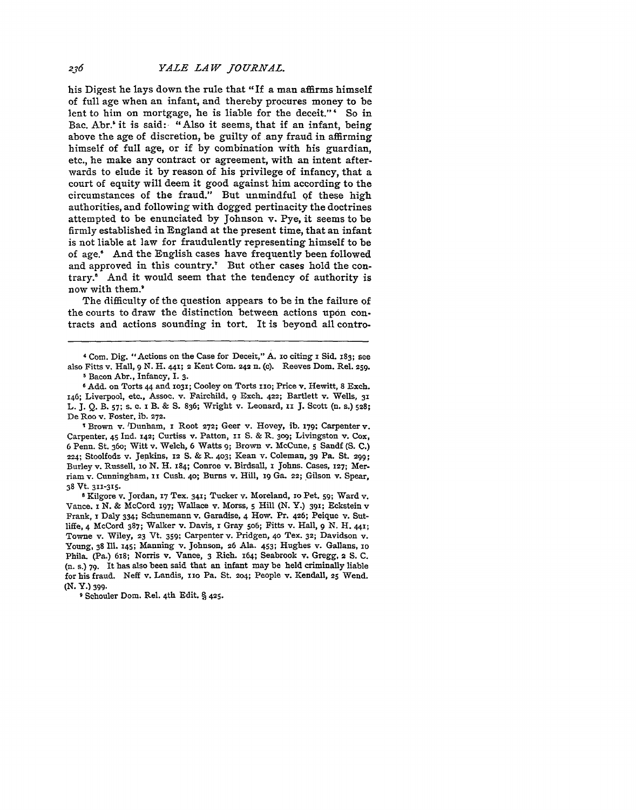his Digest he lays down the rule that "If a man affirms himself of full age when an infant, and thereby procures money to be lent to him on mortgage, he is liable for the deceit."<sup>4</sup> So in Bac. Abr.' it is said: "Also it seems, that if an infant, being above the age of discretion, be guilty of any fraud in affirming himself of full age, or if by combination with his guardian, etc., he make any contract or agreement, with an intent afterwards to elude it by reason of his privilege of infancy, that a court of equity will deem it good against him according to the circumstances of the fraud." But unmindful of these high authorities, and following with dogged pertinacity the doctrines attempted to be enunciated by Johnson v. Pye, it seems to be firmly established in England at the present time, that an infant is not liable at law for fraudulently representing himself to be of age.' And the English cases have frequently been followed and approved in this country." But other cases hold the contrary.' And it would seem that the tendency of authority is now with them.'

The difficulty of the question appears to be in the failure of the courts to draw the distinction between actions upon contracts and actions sounding in tort. It is beyond all contro-

4 Corn. Dig. "Actions on the Case for Deceit," A. io citing **i** Sid. 183; see also Fitts v. Hall, **9** N. H. **441;** 2 Kent Corn. **242** n. (c). Reeves Doam. Rel. **259. 5** Bacon Abr., Infancy, I. 3.

**6** Add. on Torts 44 and 1o3; Cooley on Torts iio; Price v. Hewitt, 8 Exch. 146; Liverpool, etc., Assoc. v. Fairchild. 9 Exch. 422; Bartlett v. Wells, **31** L. J. Q. B. **57;** s. **c.** i B. & S. 836; Wright v. Leonard, II J. Scott (n. s.) **528;** De Roo v. Foster, ib. **272.**

**I** Brown v. 'Dunham, i Root **272;** Geer v. Hovey, ib. **179;** Carpenter v. Carpenter, 45 Ind. 142; Curtiss v. Patton, **ii** S. & R. **309;** Livingston v. Cox, 6 Penn. St. 36o; Witt v. Welch, **6** Watts 9; Brown v. McCune, **5** Sandf (S. **C.)** 224; Stoolfodz v. Jenkins, **12 S.** & R. 4o3; Kean v. Coleman, 39 Pa. St. 299; Burley v. Russell, io N. H. 184; Conroe v. Birdsall, **i** Johns. Cases, **127;** Merriam v. Cunningham, **ii** Cush. 4o; Burns v. Hill, **i9** Ga. **22;** Gilson v. Spear, 38 Vt. **3,1-315.**

**8** Kilgore v. Jordan, **17** Tex. **341;** Tucker v. Moreland, io Pet. 59; Ward v. Vance. **i N.** & McCord **197;** Wallace v. Morss, **5** Hill **(N. Y.)** 391; Eckstein v Frank, i Daly 334; Schunemann v. Garadise, 4 How. Pr. 426; Peique v. Sutliffe, 4 McCord 387; Walker v. Davis, i Gray 5o6; Fitts v. Hall, **9** *N.* H. 441; Towne v. Wiley, **23** Vt. 359; Carpenter v. Pridgen, 4o Tex. **32;** Davidson v. Young, 38 Ill. **145;** Manning v. Johnson, **26** Ala. 453; Hughes v. Gallans, io Phila. (Pa.) 618; Norris v. Vance, 3 Rich. 164; Seabrook v. Gregg, 2 S. C. (n. s.) **79.** It has also been said that an infant may be held criminally liable for his fraud. Neff v. Landis, xio Pa. St. **204;** People v. Kendall, **25** Wend. **(N. Y.)** 399.

**9** Sehouler Doam. Rel. 4th Edit. § 425.

236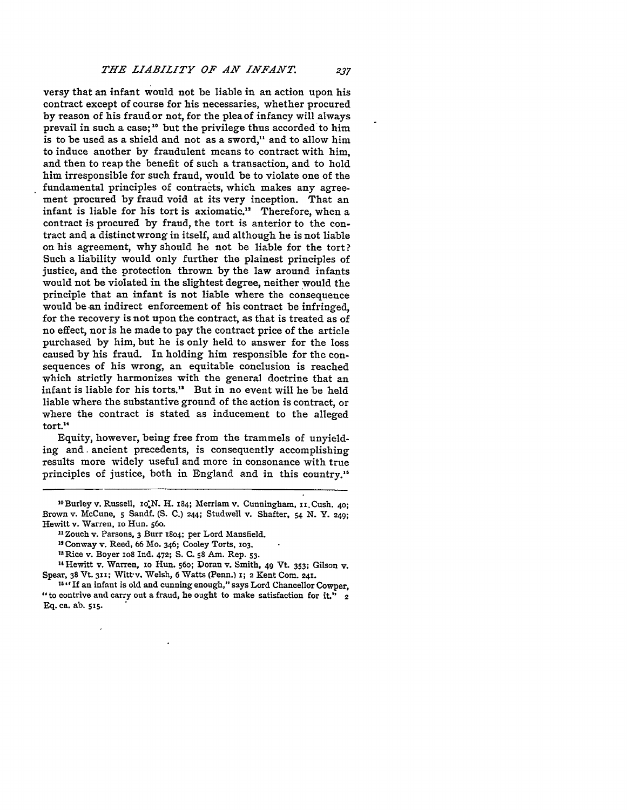versy that an infant would not be liable in an action upon his contract except of course for his necessaries, whether procured by reason of his fraud or not, for the plea of infancy will always prevail in such a case; **"** but the privilege thus accorded to him is to be used as a shield and not as a sword," and to allow him to induce another by fraudulent means to contract with him, and then to reap the benefit of such a transaction, and to hold him irresponsible for such fraud, would be to violate one of the fundamental principles of contracts, which makes any agreement procured by fraud void at its very inception. That an infant is liable for his tort is axiomatic." Therefore, when a contract is procured **by** fraud, the tort is anterior to the contract and a distinct wrong in itself, and although he is not liable on his agreement, why should he not be liable for the tort? Such a liability would only further the plainest principles of justice, and the protection thrown **by** the law around infants would not be violated in the slightest degree, neither would the principle that an infant is not liable where the consequence would be **.an** indirect enforcement of his contract be infringed, for the recovery is not upon the contract, as that is treated as of no effect, nor is he made to pay the contract price of the article purchased **by** him, but he is only held to answer for the loss caused **by** his fraud. In holding him responsible for the consequences of his wrong, an equitable conclusion is reached which strictly harmonizes with the general doctrine that an infant is liable for his torts." But in no event will he be held liable where the substantive ground of the action is contract, or where the contract is stated as inducement to the alleged tort."'

Equity, however, being free from the trammels of unyielding and. ancient precedents, is consequently accomplishing results more widely useful and more in consonance with true principles of justice, both in England and in this country."

**Is** Rice v. Boyer io8 Ind. 472; S. C. **58** Am. Rep. **53.**

<sup>14</sup> Hewitt v. Warren, 10 Hun. 560; Doran v. Smith, 49 Vt. 353; Gilson v. Spear, 38 Vt. 311; Witt v. Welsh, 6 Watts (Penn.) 1; 2 Kent Com. 241.

**II,** If an infant is old and cunning enough," says Lord Chancellor Cowper, " to contrive and carry out a fraud, he ought to make satisfaction for it."  $\frac{1}{2}$ **Eq.** ca. ab. 515.

<sup>&</sup>lt;sup>10</sup> Burley v. Russell, 10<sup>'</sup>N. H. 184; Merriam v. Cunningham, 11 Cush. 40; Brown v. McCune, **5** Sandf. (S. C.) 244; Studwell v. Shafter, 54 N. Y. 249; Hewitt v. Warren. io Hun. 56o.

<sup>&</sup>quot; Zouch v. Parsons. **3** Burr i8o4: per Lord Mansfield.

<sup>&</sup>lt;sup>13</sup> Conway v. Reed, 66 Mo. 346; Cooley Torts, 103.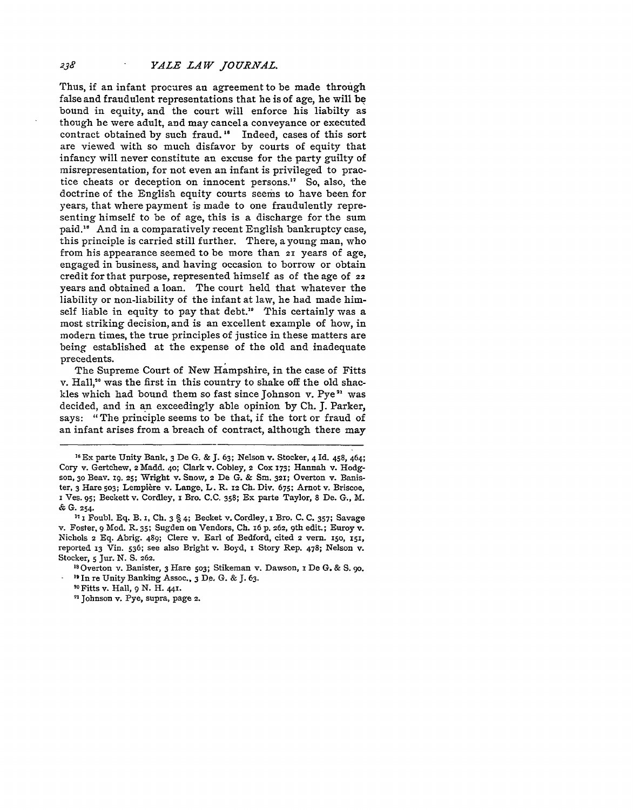Thus, if an infant procures an agreement to be made through false and fraudulent representations that he is of age, he will be bound in equity, and the court will enforce his liabilty as though be were adult, and may cancela conveyance or executed contract obtained by such fraud.<sup>16</sup> Indeed, cases of this sort are viewed with so much disfavor by courts of equity that infancy will never constitute an excuse for the party guilty of misrepresentation, for not even an infant is privileged to practice cheats or deception on innocent persons.'" So, also, the doctrine of the English equity courts seems to have been for years, that where payment is made to one fraudulently representing himself to be of age, this is a discharge for the sum paid.<sup>18</sup> And in a comparatively recent English bankruptcy case, this principle is carried still further. There, a young man, who from his appearance seemed to be more than **21** years of age, engaged in business, and having occasion to borrow or obtain credit for that purpose, represented himself as of the age of 22 years and obtained a loan. The court held that whatever the liability or non-liability of the infant at law, he had made himself liable in equity to pay that debt.<sup>10</sup> This certainly was a most striking decision, and is an excellent example of how, in modern times, the true principles of justice in these matters are being established at the expense of the old and inadequate precedents.

The Supreme Court of New Hampshire, in the case of Fitts v. Hall,<sup>20</sup> was the first in this country to shake off the old shackles which had bound them so fast since Johnson v. Pye **"** was decided, and in an exceedingly able opinion by Ch. J. Parker, says: "The principle seems to be that, if the tort or fraud of an infant arises from a breach of contract, although there may

**<sup>16</sup>** Ex parte Unity Bank, **3** De G. & J. 63; Nelson v. Stocker, 4 Id. 458, 464; Cory v. Gertchew, 2 Madd. **40;** Clark v. Cobley, 2 Cox 173; Hannah v. Hodgson, **30** Beav. **19. 25;** Wright v. Snow, 2 De **G.** & Sm. **321;** Overton v. Banister, 3 Hare 503; Lempière v. Lange, L. R. 12 Ch. Div. 675; Arnot v. Briscoe, **i** Ves. **95;** Beckett v. Cordley, **i** Bro. **C.C. 358;** Ex parte Taylor, 8 De. **G.,** M. & **G.** 254.

**<sup>7</sup>** 1 Foubl. Eq. B. **i. Ch.** 3 **§** 4; Becket v. Cor dley, **i** Bro. C. C. **357;** Savage v. Foster. **9** Mod. R. 35; Sugden on Vendors, **Ch.** i6 p. **262, 9th** edit.; Euroy v. Nichols 2 Eq. Abrig. 489; Clerc v. Earl of Bedford, cited 2 vern. **150, 151,** reported **13** Vin. 536; see also Bright v. Boyd, **i** Story Rep. 478; Nelson v. Stocker, **5** Jur. N. **S. 262.**

**<sup>18</sup>**Overton v. Banister, 3 Hare 5o3; Stikeman v. Dawson, i De **G.** & S. go. **19** In re Unity Banking Assoc., 3 De, **G.** & **J. 63.**

**<sup>10</sup>** Fitts v. Hall, 9 N. H. **44I.**

<sup>21</sup> Johnson v. Pye, supra, page 2.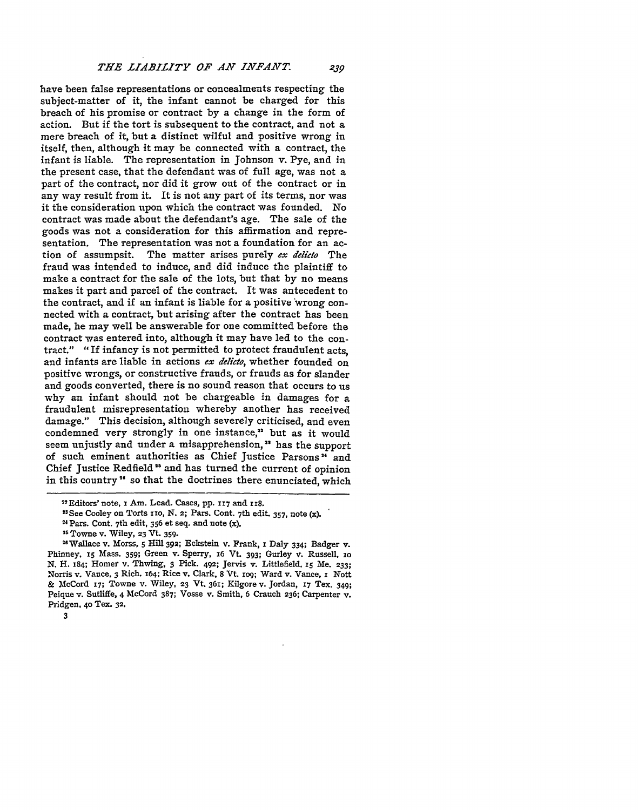have been false representations or concealments respecting the subject-matter of it, the infant cannot be charged for this breach of his promise or contract **by** a change in the form of action. But if the tort is subsequent to the contract, and not a mere breach of it, but a distinct wilful and positive wrong in itself, then, although it may be connected with a contract, the infant is liable. The representation in Johnson v. Pye, and in the present case, that the defendant was of full age, was not a part of the contract, nor did it grow out of the contract or in any way result from it. It is not any part of its terms, nor was it the consideration upon which the contract was founded. No contract was made about the defendant's age. The sale of the goods was not a consideration for this affirmation and representation. The representation was not a foundation for an action of assumpsit. The matter arises purely *ex delidto* The fraud was intended to induce, and did induce the plaintiff to make a contract for the sale of the lots, but that **by** no means makes it part and parcel of the contract. It was antecedent to the contract, and if an infant is liable for a positive 'wrong connected with a contract, but arising after the contract has been made, he may well be answerable for one committed before the contract was entered into, although it may have led to the contract." "If infancy is not permitted to protect fraudulent acts, and infants are liable in actions ex *delito,* whether founded on positive wrongs, or constructive frauds, or frauds as for slander and goods converted, there is no sound reason that occurs to us why an infant should not be chargeable in damages for a fraudulent misrepresentation whereby another has received damage." This decision, although severely criticised, and even condemned very strongly in one instance," but as it would seem unjustly and under a misapprehension," has the support of such eminent authorities as Chief Justice Parsons<sup>24</sup> and Chief Justice Redfield"' and has turned the current **of** opinion in this country" so that the doctrines there enunciated, which

ItEditors' note, x Am. Lead. Cases, **pp. 117** and **1x8.**

<sup>&</sup>quot;sSee Cooley on Torts **z1o,** *N.* **2;** Pars. Cont. 7th **edit. 357,** note (x).

<sup>24</sup> Pars. Cont. 7th edit, **356** et seq. and note (x).

<sup>&</sup>quot;5 Towne v. Wiley, **23** Vt. **359.**

<sup>&</sup>quot;sWallace v. Morss, 5 Hill **392;** Eckstein v. Frank, x Daly 334; Badger v. Phinney, I5 Mass. 359; Green v. Sperry, 16 Vt. **393;** Gurley v. Russell, io N. H. **184;** Homer v. Thwing, **3** Pick. **492;** Jervis v. Littlefield. 15 Me. **233;** Norris v. Vance, 3 Rich. 164; Rice v. Clark, 8 Vt. zo9; Ward v. Vance, **I** Nott **&** McCord **i7;** Towne v. Wiley, **23** Vt. **361;** Kilgore v. Jordan, **17** Tex. 349; Peique v. Sutliffe, 4 McCord **387;** Vosse v. Smith, 6 Crauch 236; Carpenter v. Pridgen, **4o** Tex. **32.**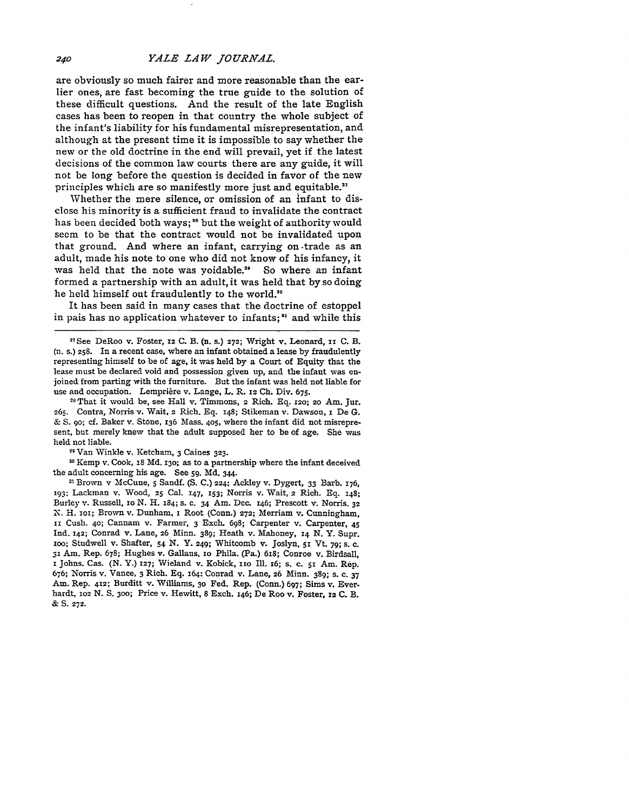## *YALE LAW JO URNAL.*

are obviously so much fairer and more reasonable than the earlier ones, are fast becoming the true guide to the solution of these difficult questions. And the result of the late English cases has been to reopen in that country the whole subject of the infant's liability for his fundamental misrepresentation, and although at the present time it is impossible to say whether the new or the old doctrine in the end will prevail, yet if the latest decisions of the common law courts there are any guide, it will not be long before the question is decided in favor of the new principles which are so manifestly more just and equitable."'

Whether the mere silence, or omission of an infant to disclose his minority is a sufficient fraud to invalidate the contract has been decided both ways; **"** but the weight of authority would seem to be that the contract would not be invalidated upon that ground. And where an infant, carrying on -trade as an adult, made his note to one who did not know of his infancy, it was held that the note was yoidable." So where an infant formed a partnership with an adult, it was held that **by** so doing he held himself out fraudulently to the world.'

It has been said in many cases that the doctrine of estoppel in pais has no application whatever to infants;" and while this

-1That it would be, see Hall v. Timmons, 2 Rich. **Eq.** 12o; **2o** Am. Jur. **265.** Contra, Norris v. Wait, 2 Rich. **Eq.** 148; Stikeman v. Dawson, **i** De G. **&** S. go; cf. Baker v. Stone, **X36** Mass. 405, where the infant did not misrepresent, but merely knew that the adult supposed her to be of age. She was held not liable.

**'29** Van Winkle v. Ketcham, **3** Caines **323.**

**20** Kemp v. Cook, 18 Md. x3o; as to a partnership where the infant deceived the adult concerning his age. See **59.** Md. 344.

3' Brown v McCune, **5** Sandf. (S. C.) **224;** Ackley v. Dygert, **33** Barb. **176,** 193; Lackman v. Wood, **25** Cal. **147, 153;** Norris v. Wait, 2 Rich. **Eq.** 148; Burley v. Russell, io N. H. 184; **S. C.** 34 Am. Dec. **146;** Prescott v. Norris. **<sup>32</sup>** N. H. **0i1;** Brown v. Dunham, i Root (Conn.) **272;** Merriam v. Cunningham, **ii** Cush. 40; Cannam v. Farmer, 3 Exch. 698; Carpenter v. Carpenter, **45 Ind. 142;** Conrad v. Lane, **26** Minn. **389;** Heath v. Mahoney, **14 N.** Y. Supr. ioo; Studwell v. Shafter, *54* **N.** Y. **249;** Whitcomb v. Joslyn, **51 Vt. 79; s. c.** *3I* Am. Rep. **678;** Hughes v. Gallaus, io Phila. (Pa.) 618; Conroe v. Birdsall, i Johns. Cas. **(N.** Y.) **127;** Wieland v. Kobick, nio Ill. 16; s. **c. 51** Am. Rep. **676;** Norris v. Vance, 3 Rich. **Eq.** x64: Conrad v. Lane, **26** Minn. **3s9; s. c. 37** Am. Rep. **412;** Burditt v. Williams, **30** Fed. Rep. (Conn.) **697;** Sims v. Everhardt, **102 N. S. 3oo;** Price v. Hewitt, **8** Exch. **146;** De Roov. Foster, **12 C.** B. **& S. 272.**

<sup>2&#</sup>x27;See DeRoo v. Foster, **12** C. B. **(n.** s.) **272;** Wright v. Leonard, **ii** C. B. (n. s.) **258.** In a recent case, where an infant obtained a lease by fraudulently representing himself to be of age, it was held **by** a Court of Equity that the lease must be declared void and possession given up, and the infant was enjoined from parting with the furniture. But the infant was held not liable for use and occupation. Lemprière v. Lange, L. R. 12 Ch. Div. 675.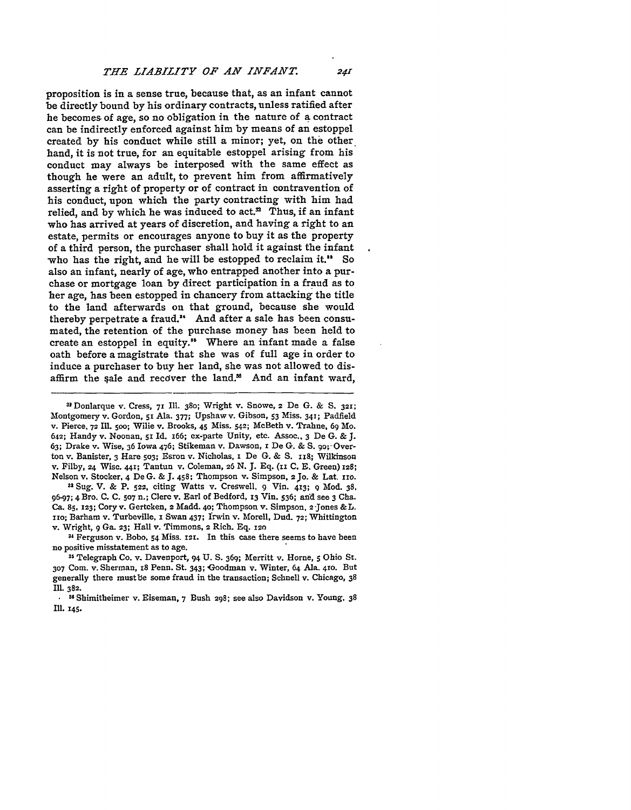## *THE LIABILITY OF AN INFANT.*  $24I$

proposition is in a sense true, because that, as an infant cannot be directly bound **by** his ordinary contracts, unless ratified after he becomes of age, so no obligation in the nature of **a** contract can be indirectly enforced against him **by** means of an estoppel created **by** his conduct while still a minor; yet, on the other hand, it is not true, for an equitable estoppel arising from his conduct may always be interposed with the same effect as though he were an adult, to prevent him from affirmatively asserting a right of property or of contract in contravention of his conduct, upon which the party contracting with him had relied, and by which he was induced to act.<sup>22</sup> Thus, if an infant who has arrived at years of discretion, and having a right to an estate, permits or encourages anyone to buy it as the property of a third person, the purchaser shall hold it against the infant who has the right, and he will be estopped to reclaim it." So also an infant, nearly of age, who entrapped another into a purchase or mortgage loan **by** direct participation in a fraud as to her age, has been estopped in chancery from attacking the title to the land afterwards on that ground, because she would thereby perpetrate a fraud." **And** after a sale has been consumated, the retention of the purchase money has been held to create an estoppel in equity." Where an infant made a false oath before a magistrate that she was of full age in order to induce a purchaser to buy her land, she was not allowed to disaffirm the sale and recover the land." And an infant ward,

**"a** Sug. V. **& P. 522,** citing Watts v. Creswell. **9** Vin. 413; **q** Mod. **38, 96-97;** 4 Bro. **C. C. 507** n.; Clerc v. Earl of Bedford, **13** Vin. **536; and** see **3** Cha. Ca. **85, 123;** Cory v. Gertcken, **2** Madd. **4o;** Thompson v. Simpson. **2** Jones **&** L. **IiO;** Barham v. Turbeville, i Swan 437; Irwin v. Morell, Dud. **72;** Whittington v. Wright, **9** Ga. **23;** Hall v. Timmons, **2** Rich. **Eq. io**

<sup>24</sup> Ferguson v. Bobo, 54 Miss. 121. In this case there seems to have been no positive misstatement as to age.

<sup>3&</sup>quot;Donlarque v. Cress, **71 Ill. 380;** Wright v. Snowe, **2** De **G. & S. 321;** Montgomery v. Gordon, **51** Ala. **377;** Upshawv. Gibson, **53** Miss. 341; Padfield v. Pierce. **72** Ill. 5oo; Wilie v. Brooks, 45 Miss. **542;** McBeth v. **Trahne, 69** Mo. **642;** Handy v. Noonan, **51** Id. 166; ex-parte Unity, etc. Assoc.. **3** De **G. & J. 63;** Drake v. Wise, **36** Iowa 476; Stikeman v. Dawson, **i** De **G. & S.** go;- Overton v. Banister, **3** Hare **503;** Esron v. Nicholas. **i** De **G. & S. ixi;** Wilkinson v. Filby, **24** Wise. **44I;** Tantun v. Coleman, **26 N. J. Eq. (ii C. E.** Green) **128;** Nelson v. Stocker, 4 De **G. & J.** 458; Thompson v. Simpson, **2 Jo. &** Lat. iio.

**<sup>&</sup>quot;1** Telegraph Co. v. Davenport, 94 **U. S. 369;** Merritt v. Home, **5** Ohio St. **307** Com. v. Sherman, **i8** Penn. St. 343; -Goodman v. Winter, 64 Ala. **410.** But generally there mustbe some fraud in the transaction; Schnell v. Chicago, **38 Ill. 382.**

**<sup>36</sup>** Shimitheimer v. Eiseman, **7** Bush **298;** see also Davidson v. Young, **38 I. 545.**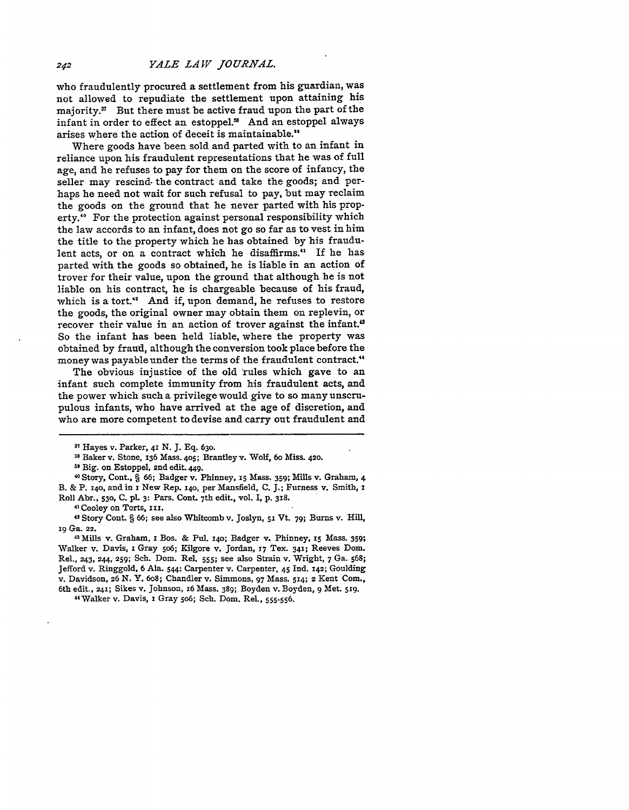who fraudulently procured a settlement from his guardian, was not allowed to repudiate the settlement upon attaining his majority.<sup>37</sup> But there must be active fraud upon the part of the infant in order to effect an estoppel.<sup>38</sup> And an estoppel always arises where the action of deceit is maintainable."

Where goods have been sold and parted with to an infant in reliance upon his fraudulent representations that he was of full age, and he refuses to pay for them on the score of infancy, the seller may rescind- the contract and take the goods; and perhaps he need not wait for such refusal to pay, but may reclaim the goods on the ground that he never parted with his property.<sup>40</sup> For the protection against personal responsibility which the law accords to an infant, does not go so far as to vest in him the title to the property which he has obtained by his fraudulent acts, or on a contract which he disaffirms." If he has parted with the goods so obtained, he is liable in an action of trover for their value, upon the ground that although he is not liable on his contract, he is chargeable because of his fraud, which is a tort." And if, upon demand, he refuses to restore the goods, the original owner may obtain them on replevin, or recover their value in an action of trover against the infant.<sup>5</sup> So the infant has been held liable, where the property was obtained by fraud, although the conversion took place before the money was payable under the terms of the fraudulent contract."

The obvious injustice of the old 'rules which gave to an infant such complete immunity from his fraudulent acts, and the power which such a privilege would give to so many unscrupulous infants, who have arrived at the age of discretion, and who are more competent to devise and carry out fraudulent and

40 Story, Cont., **§ 66;** Badger v. Phinney, **15** Mass. **359;** Mills v. Graham, 4 B. & P. **140,** and in i New Rep. i4o, per Mansfield, C. **J.;** Furness v. Smith, x Roll Abr., **530,** C. **pL 3:** Pars. Cont. 7th edit., vol. I, p. 318.

<sup>41</sup>Cooley on Torts, **iii.**

" Story Cont. **§ 66;** see also Whitcomb v. Joslyn, **51** Vt. **79;** Burns v. Hill, **19** Ga. **22.**

43 Mills v. Graham, x Bos. **&** Pul. 14o; Badger v. Phinney, **15** Mass. **359;** Walker v. Davis, *I Gray 506*; Kilgore v. Jordan, 17 Tex. 341; Reeves Dom. Rel., 243, **244,** 259; Sch. Dor. Rel. **555;** see also Strain v. Wright, **7** Ga. **568;** Jefford v. Ringgold, **6** Ala. 544: Carpenter v. Carpenter, 45 Ind. 142; Goulding v. Davidson, **26 N.** Y. 6o8; Chandler v. Simmons, **97** Mass. **514;** 2 Kent Com., 6th edit., **241;** Sikes v. Johnson, 16 Mass. **389;** Boyden v. Boyden, 9 Met. **519.** 44 Walker v. Davis, **i** Gray so6; **Sch.** Dom. Rel., **555-556.**

**<sup>37</sup>** Hayes v. Parker, **41 N. J. Eq. 630.**

**<sup>38</sup>**Baker v. Stone, **136** Mass. **405;** Brantley v. Wolf, 6o Miss. 42o.

**<sup>39</sup>** Big. on Estoppel, 2nd edit. **449.**